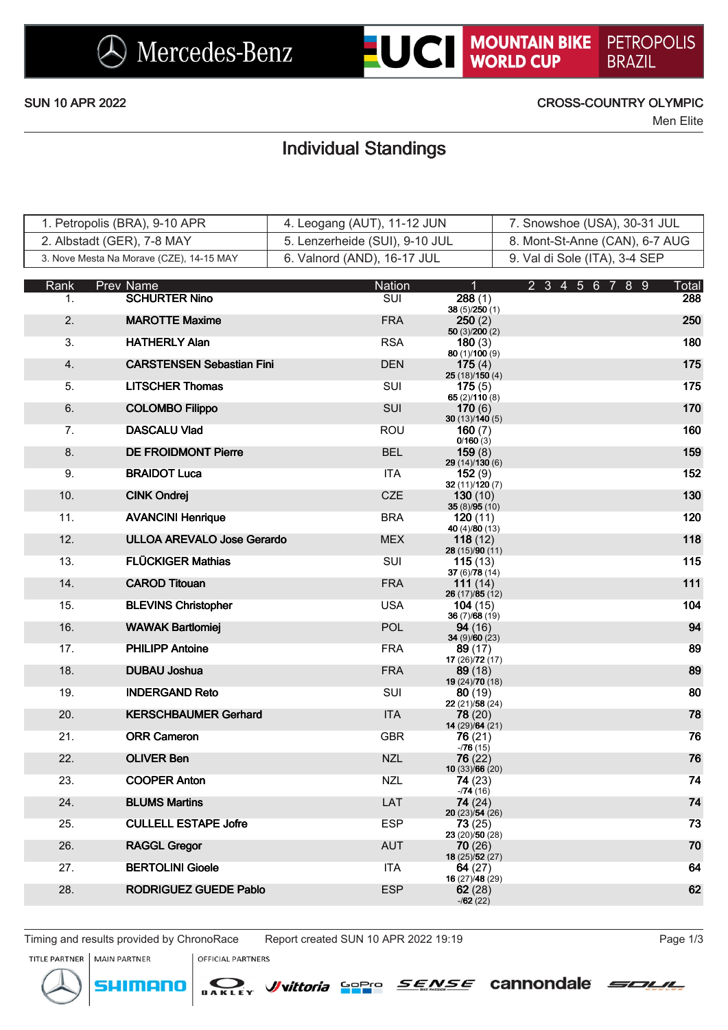

### SUN 10 APR 2022 CROSS-COUNTRY OLYMPIC

Men Elite

## Individual Standings

| 1. Petropolis (BRA), 9-10 APR            | 4. Leogang (AUT), 11-12 JUN    | 7. Snowshoe (USA), 30-31 JUL   |
|------------------------------------------|--------------------------------|--------------------------------|
| 2. Albstadt (GER), 7-8 MAY               | 5. Lenzerheide (SUI), 9-10 JUL | 8. Mont-St-Anne (CAN), 6-7 AUG |
| 3. Nove Mesta Na Morave (CZE), 14-15 MAY | 6. Valnord (AND), 16-17 JUL    | 9. Val di Sole (ITA), 3-4 SEP  |

| Rank | Prev Name                         | Nation                  | $\overline{1}$                            | 89<br>2 3 4 5 6<br>7 | Total |
|------|-----------------------------------|-------------------------|-------------------------------------------|----------------------|-------|
| 1.   | <b>SCHURTER Nino</b>              | $\overline{\text{SUI}}$ | 288(1)<br>38(5)/250(1)                    |                      | 288   |
| 2.   | <b>MAROTTE Maxime</b>             | <b>FRA</b>              | 250(2)<br>50(3)/200(2)                    |                      | 250   |
| 3.   | <b>HATHERLY Alan</b>              | <b>RSA</b>              | 180(3)                                    |                      | 180   |
| 4.   | <b>CARSTENSEN Sebastian Fini</b>  | <b>DEN</b>              | 80 (1)/100 (9)<br>175(4)<br>25(18)/150(4) |                      | 175   |
| 5.   | <b>LITSCHER Thomas</b>            | <b>SUI</b>              | 175(5)                                    |                      | 175   |
| 6.   | <b>COLOMBO Filippo</b>            | SUI                     | 65 (2)/110 (8)<br>170(6)                  |                      | 170   |
| 7.   | <b>DASCALU Vlad</b>               | <b>ROU</b>              | 30(13)/140(5)<br>160(7)<br>0/160(3)       |                      | 160   |
| 8.   | <b>DE FROIDMONT Pierre</b>        | <b>BEL</b>              | 159(8)<br>29 (14)/130 (6)                 |                      | 159   |
| 9.   | <b>BRAIDOT Luca</b>               | <b>ITA</b>              | 152(9)<br>32 (11)/120 (7)                 |                      | 152   |
| 10.  | <b>CINK Ondrej</b>                | <b>CZE</b>              | 130(10)<br>35 (8)/95 (10)                 |                      | 130   |
| 11.  | <b>AVANCINI Henrique</b>          | <b>BRA</b>              | 120(11)<br>40 (4)/80 (13)                 |                      | 120   |
| 12.  | <b>ULLOA AREVALO Jose Gerardo</b> | <b>MEX</b>              | 118(12)<br>28 (15)/90 (11)                |                      | 118   |
| 13.  | <b>FLÜCKIGER Mathias</b>          | SUI                     | 115(13)<br>37 (6)/78 (14)                 |                      | 115   |
| 14.  | <b>CAROD Titouan</b>              | <b>FRA</b>              | 111 $(14)$<br>26 (17)/85 (12)             |                      | 111   |
| 15.  | <b>BLEVINS Christopher</b>        | USA.                    | 104(15)<br>36 (7)/68 (19)                 |                      | 104   |
| 16.  | <b>WAWAK Bartlomiej</b>           | <b>POL</b>              | <b>94</b> (16)<br>34 $(9)/60(23)$         |                      | 94    |
| 17.  | <b>PHILIPP Antoine</b>            | <b>FRA</b>              | 89 (17)<br>17 $(26)/72(17)$               |                      | 89    |
| 18.  | <b>DUBAU Joshua</b>               | <b>FRA</b>              | 89(18)<br>19 $(24)/70(18)$                |                      | 89    |
| 19.  | <b>INDERGAND Reto</b>             | SUI                     | 80(19)<br>22 (21)/58 (24)                 |                      | 80    |
| 20.  | <b>KERSCHBAUMER Gerhard</b>       | <b>ITA</b>              | 78 (20)<br>14 (29)/64 (21)                |                      | 78    |
| 21.  | <b>ORR Cameron</b>                | <b>GBR</b>              | 76 (21)<br>$-76(15)$                      |                      | 76    |
| 22.  | <b>OLIVER Ben</b>                 | <b>NZL</b>              | 76 (22)<br>10 $(33)/66(20)$               |                      | 76    |
| 23.  | <b>COOPER Anton</b>               | <b>NZL</b>              | 74(23)<br>$-74(16)$                       |                      | 74    |
| 24.  | <b>BLUMS Martins</b>              | LAT                     | 74 (24)<br>20 (23)/54 (26)                |                      | 74    |
| 25.  | <b>CULLELL ESTAPE Jofre</b>       | <b>ESP</b>              | 73(25)<br>23 (20)/50 (28)                 |                      | 73    |
| 26.  | <b>RAGGL Gregor</b>               | <b>AUT</b>              | 70(26)<br>18 (25)/52 (27)                 |                      | 70    |
| 27.  | <b>BERTOLINI Gioele</b>           | ITA.                    | 64(27)<br>16 (27)/48 (29)                 |                      | 64    |
| 28.  | <b>RODRIGUEZ GUEDE Pablo</b>      | <b>ESP</b>              | 62(28)<br>$-162(22)$                      |                      | 62    |
|      |                                   |                         |                                           |                      |       |

Timing and results provided by ChronoRace Report created SUN 10 APR 2022 19:19 Page 1/3



**MAIN PARTNER** 

menc

SI







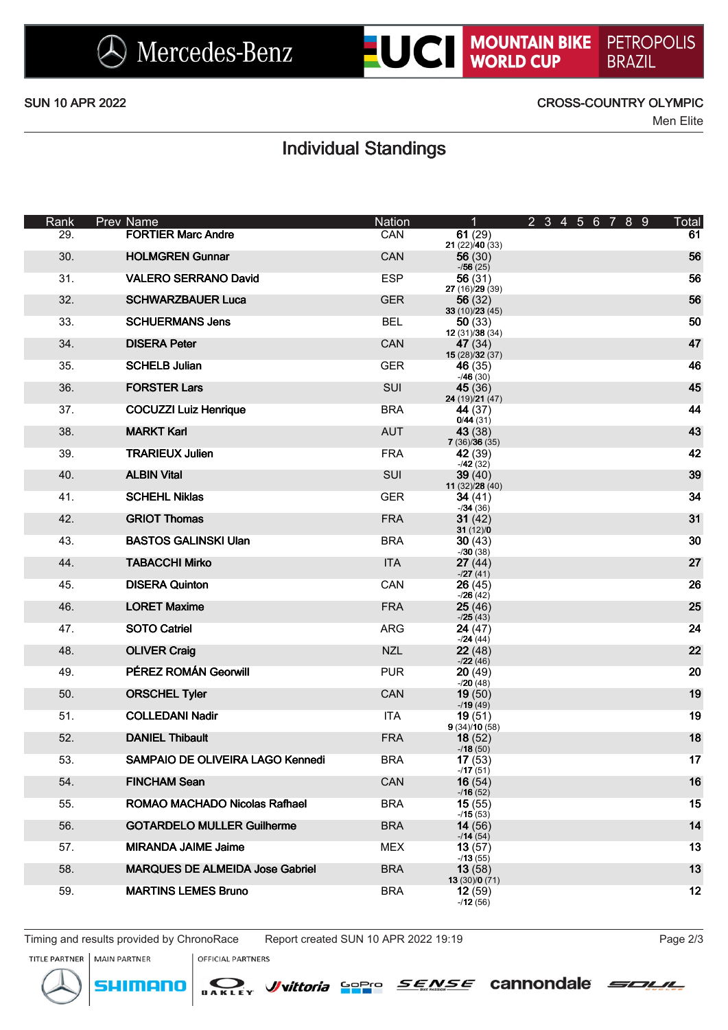## SUN 10 APR 2022 CROSS-COUNTRY OLYMPIC

Men Elite

# Individual Standings

| Rank | Prev Name                              | <b>Nation</b> | $\mathbf{1}$              | 2 3 4 5 6 7 8 9 | Total |
|------|----------------------------------------|---------------|---------------------------|-----------------|-------|
| 29.  | <b>FORTIER Marc Andre</b>              | <b>CAN</b>    | 61(29)<br>21 (22)/40 (33) |                 | 61    |
| 30.  | <b>HOLMGREN Gunnar</b>                 | <b>CAN</b>    | 56(30)<br>$-756(25)$      |                 | 56    |
| 31.  | <b>VALERO SERRANO David</b>            | <b>ESP</b>    | 56(31)<br>27 (16)/29 (39) |                 | 56    |
| 32.  | <b>SCHWARZBAUER Luca</b>               | <b>GER</b>    | 56(32)<br>33(10)/23(45)   |                 | 56    |
| 33.  | <b>SCHUERMANS Jens</b>                 | <b>BEL</b>    | 50(33)<br>12(31)/38(34)   |                 | 50    |
| 34.  | <b>DISERA Peter</b>                    | <b>CAN</b>    | 47 (34)<br>15(28)/32(37)  |                 | 47    |
| 35.  | <b>SCHELB Julian</b>                   | <b>GER</b>    | 46 (35)<br>$-46(30)$      |                 | 46    |
| 36.  | <b>FORSTER Lars</b>                    | <b>SUI</b>    | 45(36)<br>24 (19)/21 (47) |                 | 45    |
| 37.  | <b>COCUZZI Luiz Henrique</b>           | <b>BRA</b>    | 44 (37)<br>0/44(31)       |                 | 44    |
| 38.  | <b>MARKT Karl</b>                      | <b>AUT</b>    | 43(38)<br>7(36)/36(35)    |                 | 43    |
| 39.  | <b>TRARIEUX Julien</b>                 | <b>FRA</b>    | 42 (39)<br>$-42(32)$      |                 | 42    |
| 40.  | <b>ALBIN Vital</b>                     | <b>SUI</b>    | 39(40)<br>11 (32)/28 (40) |                 | 39    |
| 41.  | <b>SCHEHL Niklas</b>                   | <b>GER</b>    | 34 $(41)$<br>$-134(36)$   |                 | 34    |
| 42.  | <b>GRIOT Thomas</b>                    | <b>FRA</b>    | 31(42)<br>31(12)/0        |                 | 31    |
| 43.  | <b>BASTOS GALINSKI Ulan</b>            | <b>BRA</b>    | 30(43)<br>$-730(38)$      |                 | 30    |
| 44.  | <b>TABACCHI Mirko</b>                  | <b>ITA</b>    | 27(44)<br>$-27(41)$       |                 | 27    |
| 45.  | <b>DISERA Quinton</b>                  | <b>CAN</b>    | 26(45)<br>$-26(42)$       |                 | 26    |
| 46.  | <b>LORET Maxime</b>                    | <b>FRA</b>    | 25(46)<br>$-25(43)$       |                 | 25    |
| 47.  | <b>SOTO Catriel</b>                    | ARG           | 24(47)<br>$-24(44)$       |                 | 24    |
| 48.  | <b>OLIVER Craig</b>                    | <b>NZL</b>    | 22(48)<br>$-22(46)$       |                 | 22    |
| 49.  | PÉREZ ROMÁN Georwill                   | <b>PUR</b>    | 20(49)<br>$-20(48)$       |                 | 20    |
| 50.  | <b>ORSCHEL Tyler</b>                   | CAN           | 19(50)<br>$-19(49)$       |                 | 19    |
| 51.  | <b>COLLEDANI Nadir</b>                 | <b>ITA</b>    | 19(51)<br>9(34)/10(58)    |                 | 19    |
| 52.  | <b>DANIEL Thibault</b>                 | <b>FRA</b>    | 18(52)<br>$-18(50)$       |                 | 18    |
| 53.  | SAMPAIO DE OLIVEIRA LAGO Kennedi       | <b>BRA</b>    | 17(53)<br>$-717(51)$      |                 | 17    |
| 54.  | <b>FINCHAM Sean</b>                    | CAN           | 16(54)<br>$-16(52)$       |                 | 16    |
| 55.  | ROMAO MACHADO Nicolas Rafhael          | <b>BRA</b>    | 15(55)<br>$-15(53)$       |                 | 15    |
| 56.  | <b>GOTARDELO MULLER Guilherme</b>      | <b>BRA</b>    | 14(56)<br>$-114(54)$      |                 | 14    |
| 57.  | <b>MIRANDA JAIME Jaime</b>             | <b>MEX</b>    | 13(57)<br>$-13(55)$       |                 | 13    |
| 58.  | <b>MARQUES DE ALMEIDA Jose Gabriel</b> | <b>BRA</b>    | 13(58)<br>13(30)/0(71)    |                 | 13    |
| 59.  | <b>MARTINS LEMES Bruno</b>             | <b>BRA</b>    | 12(59)<br>$-12(56)$       |                 | 12    |

Timing and results provided by ChronoRace Report created SUN 10 APR 2022 19:19 Page 203

Wyittoria Sopro

**OFFICIAL PARTNERS** 

SOLIL

**SENSE** cannondale



**MAIN PARTNER** 

menc

SHI